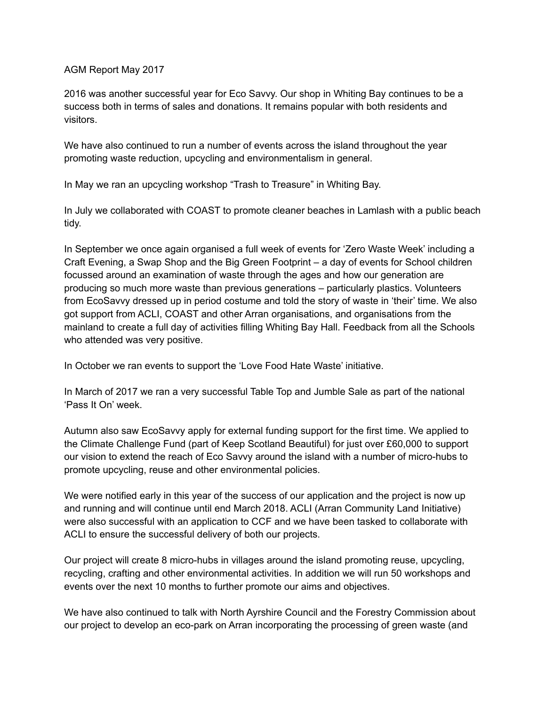## AGM Report May 2017

2016 was another successful year for Eco Savvy. Our shop in Whiting Bay continues to be a success both in terms of sales and donations. It remains popular with both residents and visitors.

We have also continued to run a number of events across the island throughout the year promoting waste reduction, upcycling and environmentalism in general.

In May we ran an upcycling workshop "Trash to Treasure" in Whiting Bay.

In July we collaborated with COAST to promote cleaner beaches in Lamlash with a public beach tidy.

In September we once again organised a full week of events for 'Zero Waste Week' including a Craft Evening, a Swap Shop and the Big Green Footprint – a day of events for School children focussed around an examination of waste through the ages and how our generation are producing so much more waste than previous generations – particularly plastics. Volunteers from EcoSavvy dressed up in period costume and told the story of waste in 'their' time. We also got support from ACLI, COAST and other Arran organisations, and organisations from the mainland to create a full day of activities filling Whiting Bay Hall. Feedback from all the Schools who attended was very positive.

In October we ran events to support the 'Love Food Hate Waste' initiative.

In March of 2017 we ran a very successful Table Top and Jumble Sale as part of the national 'Pass It On' week.

Autumn also saw EcoSavvy apply for external funding support for the first time. We applied to the Climate Challenge Fund (part of Keep Scotland Beautiful) for just over £60,000 to support our vision to extend the reach of Eco Savvy around the island with a number of micro-hubs to promote upcycling, reuse and other environmental policies.

We were notified early in this year of the success of our application and the project is now up and running and will continue until end March 2018. ACLI (Arran Community Land Initiative) were also successful with an application to CCF and we have been tasked to collaborate with ACLI to ensure the successful delivery of both our projects.

Our project will create 8 micro-hubs in villages around the island promoting reuse, upcycling, recycling, crafting and other environmental activities. In addition we will run 50 workshops and events over the next 10 months to further promote our aims and objectives.

We have also continued to talk with North Ayrshire Council and the Forestry Commission about our project to develop an eco-park on Arran incorporating the processing of green waste (and